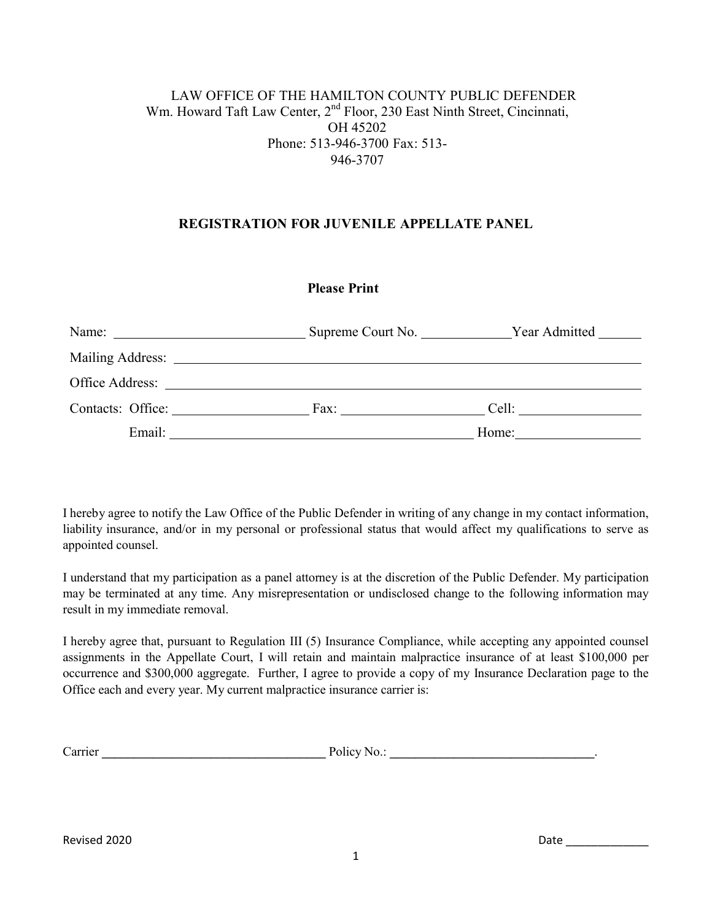# LAW OFFICE OF THE HAMILTON COUNTY PUBLIC DEFENDER Wm. Howard Taft Law Center, 2<sup>nd</sup> Floor, 230 East Ninth Street, Cincinnati, OH 45202 Phone: 513-946-3700 Fax: 513- 946-3707

### **REGISTRATION FOR JUVENILE APPELLATE PANEL**

## **Please Print**

|                                                                                                                                                                                                                                | Year Admitted<br>Supreme Court No. |       |
|--------------------------------------------------------------------------------------------------------------------------------------------------------------------------------------------------------------------------------|------------------------------------|-------|
|                                                                                                                                                                                                                                |                                    |       |
| Office Address: No. 1996. The Second Second Second Second Second Second Second Second Second Second Second Second Second Second Second Second Second Second Second Second Second Second Second Second Second Second Second Sec |                                    |       |
| Contacts: Office:                                                                                                                                                                                                              |                                    | Cell: |
| Email:                                                                                                                                                                                                                         |                                    | Home: |

I hereby agree to notify the Law Office of the Public Defender in writing of any change in my contact information, liability insurance, and/or in my personal or professional status that would affect my qualifications to serve as appointed counsel.

I understand that my participation as a panel attorney is at the discretion of the Public Defender. My participation may be terminated at any time. Any misrepresentation or undisclosed change to the following information may result in my immediate removal.

I hereby agree that, pursuant to Regulation III (5) Insurance Compliance, while accepting any appointed counsel assignments in the Appellate Court, I will retain and maintain malpractice insurance of at least \$100,000 per occurrence and \$300,000 aggregate. Further, I agree to provide a copy of my Insurance Declaration page to the Office each and every year. My current malpractice insurance carrier is:

| Carrier | Policy No.: |
|---------|-------------|
|         |             |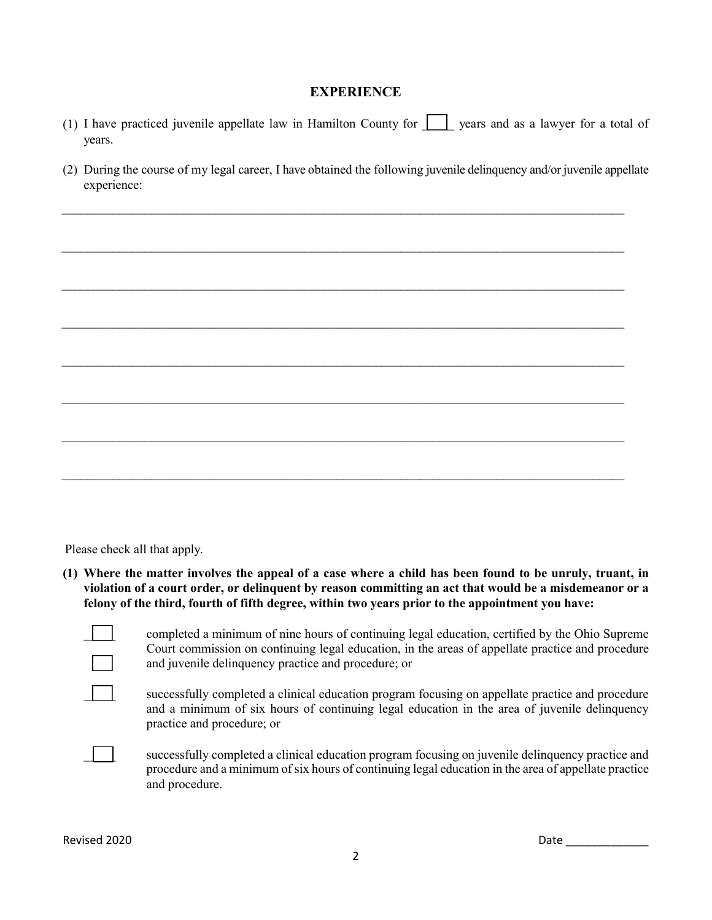#### **EXPERIENCE**

- (1) I have practiced juvenile appellate law in Hamilton County for  $\Box$  years and as a lawyer for a total of years.
- (2) During the course of my legal career, I have obtained the following juvenile delinquency and/or juvenile appellate experience:

 $\_$ 

 $\_$ 

\_\_\_\_\_\_\_\_\_\_\_\_\_\_\_\_\_\_\_\_\_\_\_\_\_\_\_\_\_\_\_\_\_\_\_\_\_\_\_\_\_\_\_\_\_\_\_\_\_\_\_\_\_\_\_\_\_\_\_\_\_\_\_\_\_\_\_\_\_\_\_\_\_\_\_\_\_\_\_\_\_\_\_\_\_\_\_\_

\_\_\_\_\_\_\_\_\_\_\_\_\_\_\_\_\_\_\_\_\_\_\_\_\_\_\_\_\_\_\_\_\_\_\_\_\_\_\_\_\_\_\_\_\_\_\_\_\_\_\_\_\_\_\_\_\_\_\_\_\_\_\_\_\_\_\_\_\_\_\_\_\_\_\_\_\_\_\_\_\_\_\_\_\_\_\_\_

\_\_\_\_\_\_\_\_\_\_\_\_\_\_\_\_\_\_\_\_\_\_\_\_\_\_\_\_\_\_\_\_\_\_\_\_\_\_\_\_\_\_\_\_\_\_\_\_\_\_\_\_\_\_\_\_\_\_\_\_\_\_\_\_\_\_\_\_\_\_\_\_\_\_\_\_\_\_\_\_\_\_\_\_\_\_\_\_

\_\_\_\_\_\_\_\_\_\_\_\_\_\_\_\_\_\_\_\_\_\_\_\_\_\_\_\_\_\_\_\_\_\_\_\_\_\_\_\_\_\_\_\_\_\_\_\_\_\_\_\_\_\_\_\_\_\_\_\_\_\_\_\_\_\_\_\_\_\_\_\_\_\_\_\_\_\_\_\_\_\_\_\_\_\_\_\_

\_\_\_\_\_\_\_\_\_\_\_\_\_\_\_\_\_\_\_\_\_\_\_\_\_\_\_\_\_\_\_\_\_\_\_\_\_\_\_\_\_\_\_\_\_\_\_\_\_\_\_\_\_\_\_\_\_\_\_\_\_\_\_\_\_\_\_\_\_\_\_\_\_\_\_\_\_\_\_\_\_\_\_\_\_\_\_\_

Please check all that apply.

**(1) Where the matter involves the appeal of a case where a child has been found to be unruly, truant, in violation of a court order, or delinquent by reason committing an act that would be a misdemeanor or a felony of the third, fourth of fifth degree, within two years prior to the appointment you have:**

 $\overline{a}$ 

\_\_\_\_\_ completed a minimum of nine hours of continuing legal education, certified by the Ohio Supreme Court commission on continuing legal education, in the areas of appellate practice and procedure and juvenile delinquency practice and procedure; or

successfully completed a clinical education program focusing on appellate practice and procedure and a minimum of six hours of continuing legal education in the area of juvenile delinquency practice and procedure; or



\_\_\_\_\_ successfully completed a clinical education program focusing on juvenile delinquency practice and procedure and a minimum of six hours of continuing legal education in the area of appellate practice and procedure.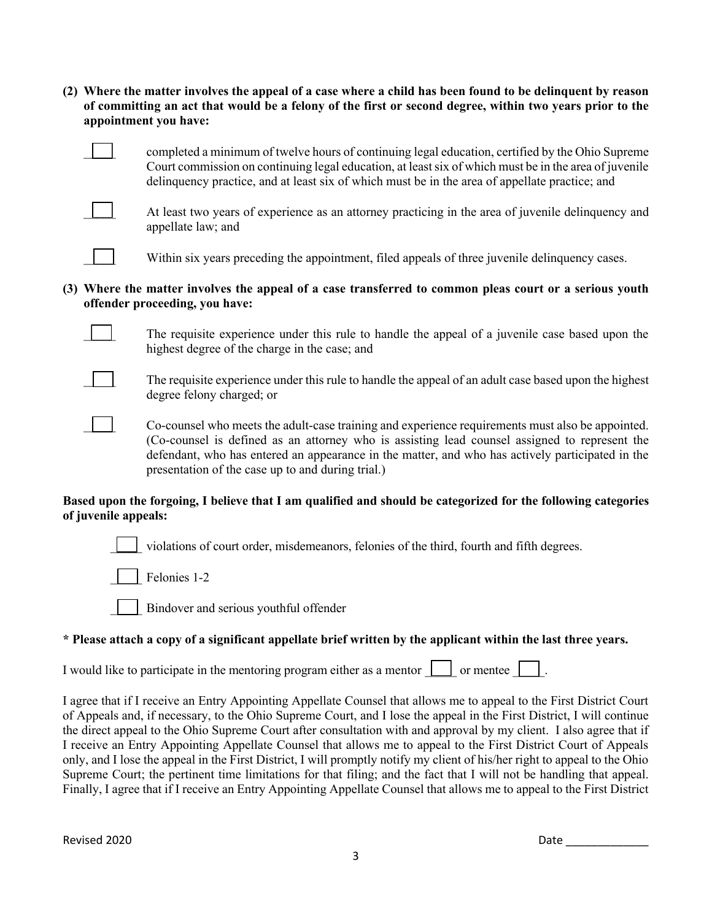**(2) Where the matter involves the appeal of a case where a child has been found to be delinquent by reason of committing an act that would be a felony of the first or second degree, within two years prior to the appointment you have:**



\_\_\_\_\_ completed a minimum of twelve hours of continuing legal education, certified by the Ohio Supreme Court commission on continuing legal education, at least six of which must be in the area of juvenile delinquency practice, and at least six of which must be in the area of appellate practice; and



At least two years of experience as an attorney practicing in the area of juvenile delinquency and appellate law; and

Within six years preceding the appointment, filed appeals of three juvenile delinquency cases.

### **(3) Where the matter involves the appeal of a case transferred to common pleas court or a serious youth offender proceeding, you have:**

The requisite experience under this rule to handle the appeal of a juvenile case based upon the highest degree of the charge in the case; and



The requisite experience under this rule to handle the appeal of an adult case based upon the highest degree felony charged; or

\_\_\_\_\_ Co-counsel who meets the adult-case training and experience requirements must also be appointed. (Co-counsel is defined as an attorney who is assisting lead counsel assigned to represent the defendant, who has entered an appearance in the matter, and who has actively participated in the presentation of the case up to and during trial.)

#### **Based upon the forgoing, I believe that I am qualified and should be categorized for the following categories of juvenile appeals:**

\_\_\_\_\_ violations of court order, misdemeanors, felonies of the third, fourth and fifth degrees.

Felonies 1-2

\_\_\_\_\_ Bindover and serious youthful offender

## \* Please attach a copy of a significant appellate brief written by the applicant within the last three years.

I would like to participate in the mentoring program either as a mentor  $\Box$  or mentee  $\Box$ .

I agree that if I receive an Entry Appointing Appellate Counsel that allows me to appeal to the First District Court of Appeals and, if necessary, to the Ohio Supreme Court, and I lose the appeal in the First District, I will continue the direct appeal to the Ohio Supreme Court after consultation with and approval by my client. I also agree that if I receive an Entry Appointing Appellate Counsel that allows me to appeal to the First District Court of Appeals only, and I lose the appeal in the First District, I will promptly notify my client of his/her right to appeal to the Ohio Supreme Court; the pertinent time limitations for that filing; and the fact that I will not be handling that appeal. Finally, I agree that if I receive an Entry Appointing Appellate Counsel that allows me to appeal to the First District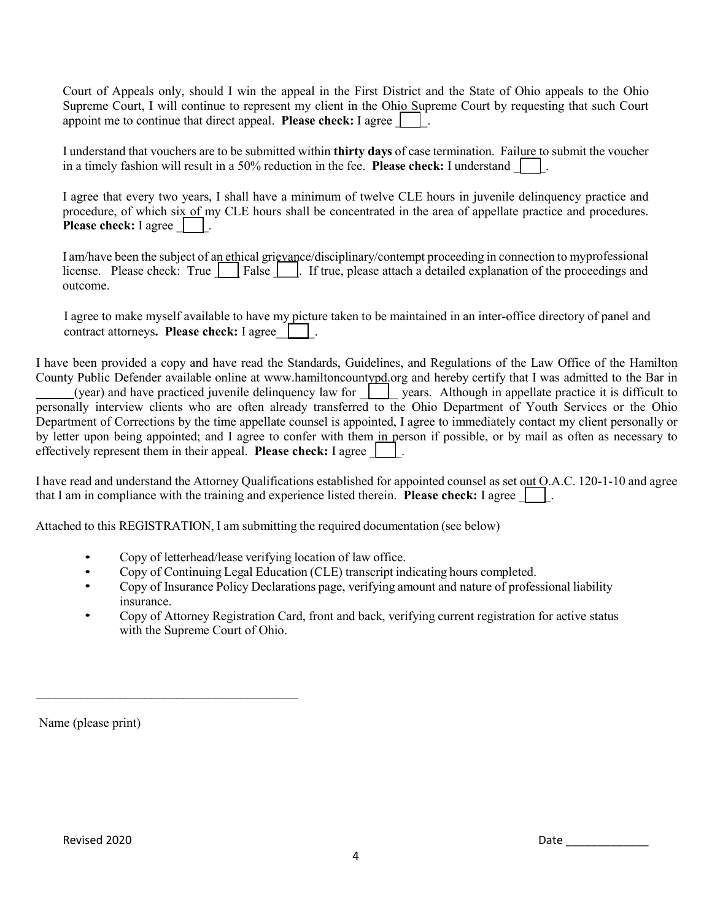Court of Appeals only, should I win the appeal in the First District and the State of Ohio appeals to the Ohio Supreme Court, I will continue to represent my client in the Ohio Supreme Court by requesting that such Court appoint me to continue that direct appeal. **Please check:** I agree

I understand that vouchers are to be submitted within **thirty days** of case termination. Failure to submit the voucher in a timely fashion will result in a 50% reduction in the fee. **Please check:** I understand  $\begin{bmatrix} \cdot & \cdot & \cdot \\ \cdot & \cdot & \cdot \\ \cdot & \cdot & \cdot \\ \cdot & \cdot & \cdot \end{bmatrix}$ .

I agree that every two years, I shall have a minimum of twelve CLE hours in juvenile delinquency practice and procedure, of which six of my CLE hours shall be concentrated in the area of appellate practice and procedures. **Please check:** I agree  $\Box$ .

I am/have been the subject of an ethical grievance/disciplinary/contempt proceeding in connection to myprofessional license. Please check: True  $\vert$  False  $\vert$ . If true, please attach a detailed explanation of the proceedings and outcome.

I agree to make myself available to have my picture taken to be maintained in an inter-office directory of panel and contract attorneys**. Please check:** I agree\_\_\_\_\_\_.

I have been provided a copy and have read the Standards, Guidelines, and Regulations of the Law Office of the Hamilton County Public Defender available online at www.hamiltoncountypd.org and hereby certify that I was admitted to the Bar in  $\frac{1}{2}$  (year) and have practiced juvenile delinquency law for  $\frac{1}{2}$  years. Although in appellate practice it is difficult to personally interview clients who are often already transferred to the Ohio Department of Youth Services or the Ohio Department of Corrections by the time appellate counsel is appointed, I agree to immediately contact my client personally or by letter upon being appointed; and I agree to confer with them in person if possible, or by mail as often as necessary to effectively represent them in their appeal. **Please check:** I agree  $\begin{vmatrix} \cdot & \cdot \\ \cdot & \cdot \end{vmatrix}$ .

I have read and understand the Attorney Qualifications established for appointed counsel as set out O.A.C. 120-1-10 and agree that I am in compliance with the training and experience listed therein. **Please check:** I agree  $\begin{vmatrix} \cdot & \cdot & \cdot \\ \cdot & \cdot & \cdot \\ \cdot & \cdot & \cdot \end{vmatrix}$ .

Attached to this REGISTRATION, I am submitting the required documentation (see below)

- Copy of letterhead/lease verifying location of law office.
- Copy of Continuing Legal Education (CLE) transcript indicating hours completed.
- Copy of Insurance Policy Declarations page, verifying amount and nature of professional liability insurance.
- Copy of Attorney Registration Card, front and back, verifying current registration for active status with the Supreme Court of Ohio.

Name (please print)

 $\mathcal{L}_\text{max}$